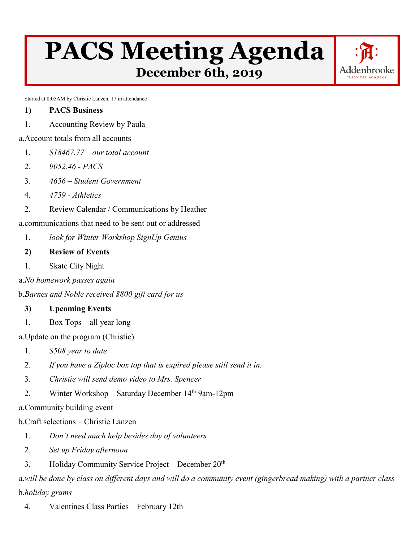## **PACS Meeting Agenda December 6th, 2019**

Addenbrooke

Started at 8:05AM by Christie Lanzen. 17 in attendance

- **1) PACS Business**
- 1. Accounting Review by Paula

## a.Account totals from all accounts

- 1. *\$18467.77 – our total account*
- 2. *9052.46 - PACS*
- 3. *4656 – Student Government*
- 4. *4759 - Athletics*
- 2. Review Calendar / Communications by Heather

a.communications that need to be sent out or addressed

1. *look for Winter Workshop SignUp Genius* 

## **2) Review of Events**

- 1. Skate City Night
- a.*No homework passes again*

b.*Barnes and Noble received \$800 gift card for us* 

## **3) Upcoming Events**

1. Box Tops – all year long

a.Update on the program (Christie)

- 1. *\$508 year to date*
- 2. *If you have a Ziploc box top that is expired please still send it in.*
- 3. *Christie will send demo video to Mrs. Spencer*
- 2. Winter Workshop Saturday December 14<sup>th 9</sup>am-12pm

a.Community building event

b.Craft selections – Christie Lanzen

- 1. *Don't need much help besides day of volunteers*
- 2. *Set up Friday afternoon*
- 3. Holiday Community Service Project December 20<sup>th</sup>

a.*will be done by class on different days and will do a community event (gingerbread making) with a partner class*  b.*holiday grams* 

4. Valentines Class Parties – February 12th